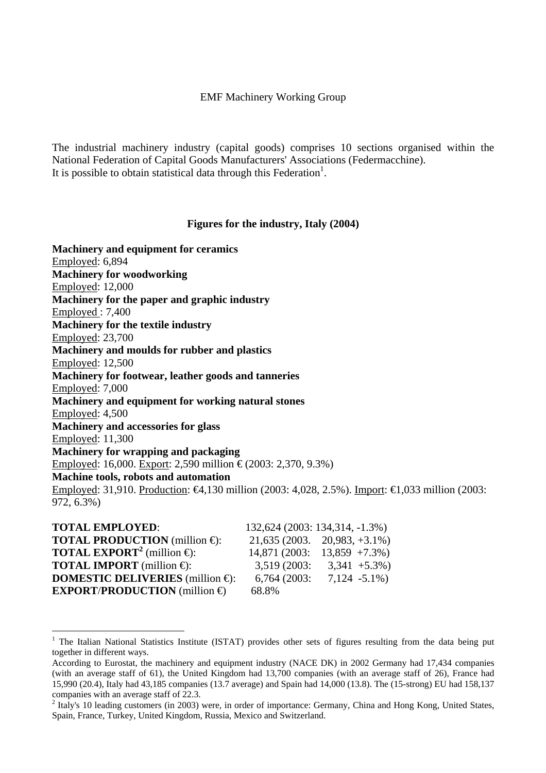#### EMF Machinery Working Group

The industrial machinery industry (capital goods) comprises 10 sections organised within the National Federation of Capital Goods Manufacturers' Associations (Federmacchine). It is possible to obtain statistical data through this Federation<sup>[1](#page-0-0)</sup>.

#### **Figures for the industry, Italy (2004)**

**Machinery and equipment for ceramics**  Employed: 6,894 **Machinery for woodworking**  Employed: 12,000 **Machinery for the paper and graphic industry**  Employed : 7,400 **Machinery for the textile industry**  Employed: 23,700 **Machinery and moulds for rubber and plastics**  Employed: 12,500 **Machinery for footwear, leather goods and tanneries**  Employed: 7,000 **Machinery and equipment for working natural stones**  Employed: 4,500 **Machinery and accessories for glass**  Employed: 11,300 **Machinery for wrapping and packaging**  Employed: 16,000. Export: 2,590 million €(2003: 2,370, 9.3%) **Machine tools, robots and automation**  Employed: 31,910. Production: €4,130 million (2003: 4,028, 2.5%). Import: €1,033 million (2003: 972, 6.3%)

| <b>TOTAL EMPLOYED:</b>                               |              | 132,624 (2003: 134,314, -1.3%)       |
|------------------------------------------------------|--------------|--------------------------------------|
| <b>TOTAL PRODUCTION</b> (million $\oplus$ ):         |              | $21,635(2003. \quad 20,983, +3.1\%)$ |
| <b>TOTAL EXPORT<sup>2</sup></b> (million $\oplus$ ): |              | $14,871(2003; 13,859 +7.3\%)$        |
| <b>TOTAL IMPORT</b> (million $\bigoplus$ ):          | 3,519 (2003: | $3,341 + 5.3\%)$                     |
| <b>DOMESTIC DELIVERIES</b> (million $\bigoplus$ ):   | 6,764(2003)  | $7,124 - 5.1\%$                      |
| <b>EXPORT/PRODUCTION</b> (million $\oplus$           | 68.8%        |                                      |

 $\overline{a}$ 

<span id="page-0-0"></span><sup>&</sup>lt;sup>1</sup> The Italian National Statistics Institute (ISTAT) provides other sets of figures resulting from the data being put together in different ways.

According to Eurostat, the machinery and equipment industry (NACE DK) in 2002 Germany had 17,434 companies (with an average staff of 61), the United Kingdom had 13,700 companies (with an average staff of 26), France had 15,990 (20.4), Italy had 43,185 companies (13.7 average) and Spain had 14,000 (13.8). The (15-strong) EU had 158,137 companies with an average staff of 22.3.

<span id="page-0-1"></span> $2$  Italy's 10 leading customers (in 2003) were, in order of importance: Germany, China and Hong Kong, United States, Spain, France, Turkey, United Kingdom, Russia, Mexico and Switzerland.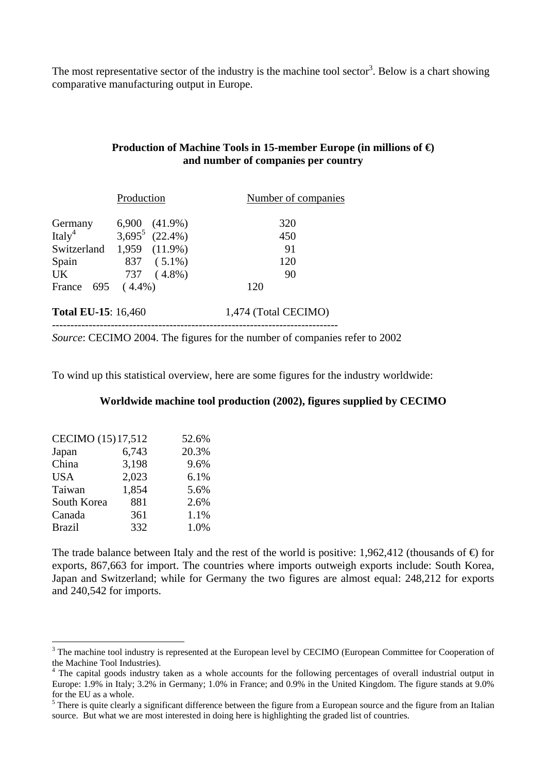The most representative sector of the industry is the machine tool sector<sup>[3](#page-1-0)</sup>. Below is a chart showing comparative manufacturing output in Europe.

# **Production of Machine Tools in 15-member Europe (in millions of €) and number of companies per country**

|                               | Production                                       | Number of companies  |
|-------------------------------|--------------------------------------------------|----------------------|
| Germany<br>Italy <sup>4</sup> | $6,900$ $(41.9\%)$<br>3,695 <sup>5</sup> (22.4%) | 320<br>450           |
| Switzerland                   | 1,959 (11.9%)                                    | 91                   |
| Spain<br><b>UK</b>            | 837 (5.1%)<br>737 (4.8%)                         | 120<br>90            |
| 695<br>France                 | $(4.4\%)$                                        | 120                  |
| <b>Total EU-15:</b> 16,460    |                                                  | 1,474 (Total CECIMO) |

*Source*: CECIMO 2004. The figures for the number of companies refer to 2002

To wind up this statistical overview, here are some figures for the industry worldwide:

## **Worldwide machine tool production (2002), figures supplied by CECIMO**

| CECIMO (15) 17,512 |       | 52.6% |
|--------------------|-------|-------|
| Japan              | 6,743 | 20.3% |
| China              | 3,198 | 9.6%  |
| <b>USA</b>         | 2,023 | 6.1%  |
| Taiwan             | 1,854 | 5.6%  |
| South Korea        | 881   | 2.6%  |
| Canada             | 361   | 1.1%  |
| <b>Brazil</b>      | 332   | 1.0%  |

 $\overline{a}$ 

The trade balance between Italy and the rest of the world is positive: 1,962,412 (thousands of  $\oplus$ ) for exports, 867,663 for import. The countries where imports outweigh exports include: South Korea, Japan and Switzerland; while for Germany the two figures are almost equal: 248,212 for exports and 240,542 for imports.

<span id="page-1-0"></span><sup>&</sup>lt;sup>3</sup> The machine tool industry is represented at the European level by CECIMO (European Committee for Cooperation of the Machine Tool Industries).

<span id="page-1-1"></span><sup>&</sup>lt;sup>4</sup> The capital goods industry taken as a whole accounts for the following percentages of overall industrial output in Europe: 1.9% in Italy; 3.2% in Germany; 1.0% in France; and 0.9% in the United Kingdom. The figure stands at 9.0% for the EU as a whole.

<span id="page-1-2"></span> $<sup>5</sup>$  There is quite clearly a significant difference between the figure from a European source and the figure from an Italian</sup> source. But what we are most interested in doing here is highlighting the graded list of countries.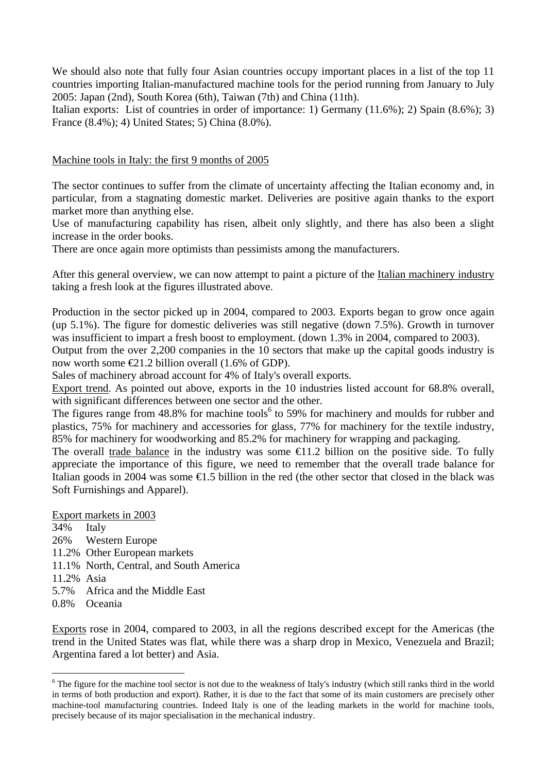We should also note that fully four Asian countries occupy important places in a list of the top 11 countries importing Italian-manufactured machine tools for the period running from January to July 2005: Japan (2nd), South Korea (6th), Taiwan (7th) and China (11th).

Italian exports: List of countries in order of importance: 1) Germany (11.6%); 2) Spain (8.6%); 3) France (8.4%); 4) United States; 5) China (8.0%).

# Machine tools in Italy: the first 9 months of 2005

The sector continues to suffer from the climate of uncertainty affecting the Italian economy and, in particular, from a stagnating domestic market. Deliveries are positive again thanks to the export market more than anything else.

Use of manufacturing capability has risen, albeit only slightly, and there has also been a slight increase in the order books.

There are once again more optimists than pessimists among the manufacturers.

After this general overview, we can now attempt to paint a picture of the Italian machinery industry taking a fresh look at the figures illustrated above.

Production in the sector picked up in 2004, compared to 2003. Exports began to grow once again (up 5.1%). The figure for domestic deliveries was still negative (down 7.5%). Growth in turnover was insufficient to impart a fresh boost to employment. (down 1.3% in 2004, compared to 2003).

Output from the over 2,200 companies in the 10 sectors that make up the capital goods industry is now worth some  $E1.2$  billion overall (1.6% of GDP).

Sales of machinery abroad account for 4% of Italy's overall exports.

Export trend. As pointed out above, exports in the 10 industries listed account for 68.8% overall, with significant differences between one sector and the other.

The figures range from  $48.8\%$  for machine tools<sup>[6](#page-2-0)</sup> to 59% for machinery and moulds for rubber and plastics, 75% for machinery and accessories for glass, 77% for machinery for the textile industry, 85% for machinery for woodworking and 85.2% for machinery for wrapping and packaging.

The overall trade balance in the industry was some  $\epsilon$ 1.2 billion on the positive side. To fully appreciate the importance of this figure, we need to remember that the overall trade balance for Italian goods in 2004 was some €1.5 billion in the red (the other sector that closed in the black was Soft Furnishings and Apparel).

Export markets in 2003

34% Italy 26% Western Europe 11.2% Other European markets 11.1% North, Central, and South America 11.2% Asia 5.7% Africa and the Middle East 0.8% Oceania

Exports rose in 2004, compared to 2003, in all the regions described except for the Americas (the trend in the United States was flat, while there was a sharp drop in Mexico, Venezuela and Brazil; Argentina fared a lot better) and Asia.

<span id="page-2-0"></span><sup>&</sup>lt;sup>6</sup> The figure for the machine tool sector is not due to the weakness of Italy's industry (which still ranks third in the world in terms of both production and export). Rather, it is due to the fact that some of its main customers are precisely other machine-tool manufacturing countries. Indeed Italy is one of the leading markets in the world for machine tools, precisely because of its major specialisation in the mechanical industry.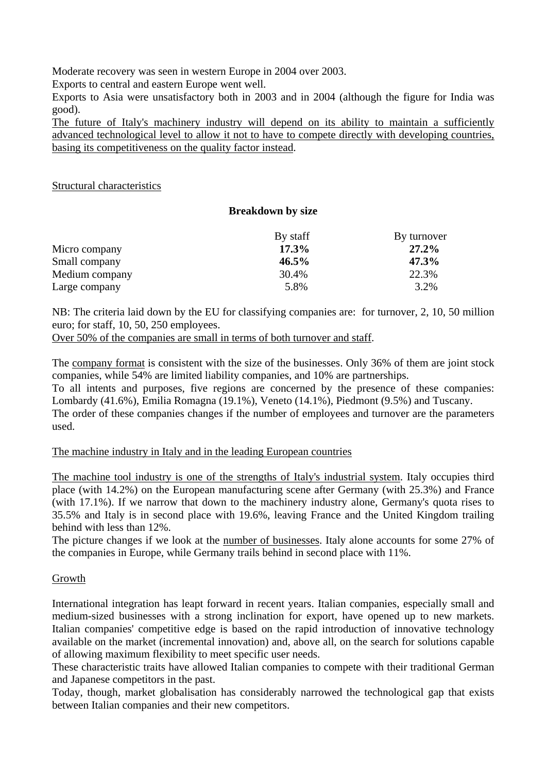Moderate recovery was seen in western Europe in 2004 over 2003.

Exports to central and eastern Europe went well.

Exports to Asia were unsatisfactory both in 2003 and in 2004 (although the figure for India was good).

The future of Italy's machinery industry will depend on its ability to maintain a sufficiently advanced technological level to allow it not to have to compete directly with developing countries, basing its competitiveness on the quality factor instead.

### Structural characteristics

## **Breakdown by size**

|                | By staff | By turnover |
|----------------|----------|-------------|
| Micro company  | 17.3%    | 27.2%       |
| Small company  | $46.5\%$ | 47.3%       |
| Medium company | 30.4%    | 22.3%       |
| Large company  | 5.8%     | 3.2%        |

NB: The criteria laid down by the EU for classifying companies are: for turnover, 2, 10, 50 million euro; for staff, 10, 50, 250 employees.

Over 50% of the companies are small in terms of both turnover and staff.

The company format is consistent with the size of the businesses. Only 36% of them are joint stock companies, while 54% are limited liability companies, and 10% are partnerships.

To all intents and purposes, five regions are concerned by the presence of these companies: Lombardy (41.6%), Emilia Romagna (19.1%), Veneto (14.1%), Piedmont (9.5%) and Tuscany.

The order of these companies changes if the number of employees and turnover are the parameters used.

### The machine industry in Italy and in the leading European countries

The machine tool industry is one of the strengths of Italy's industrial system. Italy occupies third place (with 14.2%) on the European manufacturing scene after Germany (with 25.3%) and France (with 17.1%). If we narrow that down to the machinery industry alone, Germany's quota rises to 35.5% and Italy is in second place with 19.6%, leaving France and the United Kingdom trailing behind with less than 12%.

The picture changes if we look at the number of businesses. Italy alone accounts for some 27% of the companies in Europe, while Germany trails behind in second place with 11%.

### Growth

International integration has leapt forward in recent years. Italian companies, especially small and medium-sized businesses with a strong inclination for export, have opened up to new markets. Italian companies' competitive edge is based on the rapid introduction of innovative technology available on the market (incremental innovation) and, above all, on the search for solutions capable of allowing maximum flexibility to meet specific user needs.

These characteristic traits have allowed Italian companies to compete with their traditional German and Japanese competitors in the past.

Today, though, market globalisation has considerably narrowed the technological gap that exists between Italian companies and their new competitors.